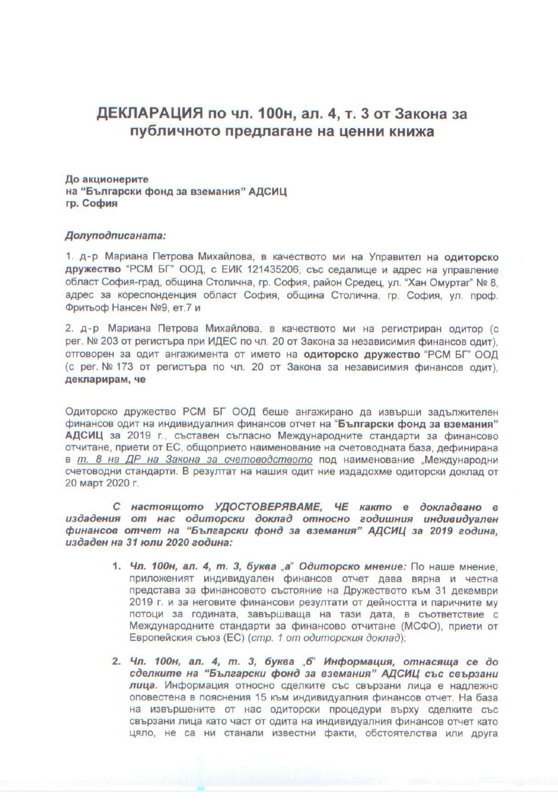## ДЕКЛАРАЦИЯ по чл. 100н, ал. 4, т. 3 от Закона за публичното предлагане на ценни книжа

До акционерите на "Български фонд за вземания" АДСИЦ гр. София

## Долуподписаната:

1. д-р Мариана Петрова Михайлова, в качеството ми на Управител на одиторско дружество "РСМ БГ" ООД, с ЕИК 121435206, със седалище и адрес на управление област София-град, община Столична, гр. София, район Средец, ул. "Хан Омуртаг" № 8. адрес за кореспонденция област София, община Столична, гр. София, ул. проф. Фритьоф Нансен №9, ет.7 и

2. д-р Мариана Петрова Михайлова, в качеството ми на регистриран одитор (с рег. № 203 от регистъра при ИДЕС по чл. 20 от Закона за независимия финансов одит). отговорен за одит ангажимента от името на одиторско дружество "РСМ БГ" ООД (с рег. № 173 от регистъра по чл. 20 от Закона за независимия финансов одит), декларирам, че

Одиторско дружество РСМ БГ ООД беше ангажирано да извърши задължителен финансов одит на индивидуалния финансов отчет на "Български фонд за вземания" АДСИЦ за 2019 г., съставен съгласно Международните стандарти за финансово отчитане, приети от ЕС, общоприето наименование на счетоводната база, дефинирана в т. 8 на ДР на Закона за счетоводството под наименование "Международни счетоводни стандарти. В резултат на нашия одит ние издадохме одиторски доклад от 20 март 2020 г.

С настоящото УДОСТОВЕРЯВАМЕ, ЧЕ както е докладвано в издадения от нас одиторски доклад относно годишния индивидуален финансов отчет на "Български фонд за вземания" АДСИЦ за 2019 година, издаден на 31 юли 2020 година:

- 1. Чл. 100н, ал. 4, т. 3, буква а" Одиторско мнение: По наше мнение. приложеният индивидуален финансов отчет дава вярна и честна представа за финансовото състояние на Дружеството към 31 декември 2019 г. и за неговите финансови резултати от дейността и паричните му потоци за годината, завършваща на тази дата, в съответствие с Международните стандарти за финансово отчитане (МСФО), приети от Европейския съюз (ЕС) (стр. 1 от одиторския доклад);
- 2. Чл. 100н, ал. 4, т. 3, буква "б" Информация, отнасяща се до сделките на "Български фонд за вземания" АДСИЦ със свързани лица. Информация относно сделките със свързани лица е надлежно оповестена в пояснения 15 към индивидуалния финансов отчет. На база на извършените от нас одиторски процедури върху сделките със свързани лица като част от одита на индивидуалния финансов отчет като цяло, не са ни станали известни факти, обстоятелства или друга